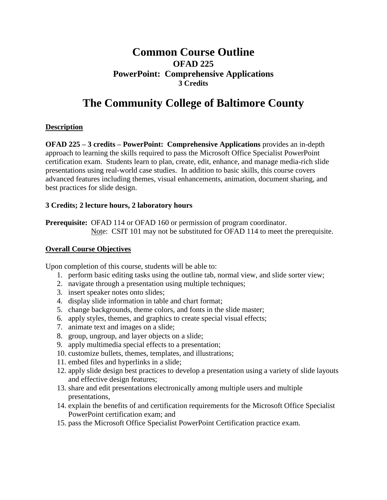# **Common Course Outline OFAD 225 PowerPoint: Comprehensive Applications 3 Credits**

# **The Community College of Baltimore County**

### **Description**

**OFAD 225 – 3 credits – PowerPoint: Comprehensive Applications** provides an in-depth approach to learning the skills required to pass the Microsoft Office Specialist PowerPoint certification exam. Students learn to plan, create, edit, enhance, and manage media-rich slide presentations using real-world case studies. In addition to basic skills, this course covers advanced features including themes, visual enhancements, animation, document sharing, and best practices for slide design.

### **3 Credits; 2 lecture hours, 2 laboratory hours**

**Prerequisite:** OFAD 114 or OFAD 160 or permission of program coordinator. Note: CSIT 101 may not be substituted for OFAD 114 to meet the prerequisite.

### **Overall Course Objectives**

Upon completion of this course, students will be able to:

- 1. perform basic editing tasks using the outline tab, normal view, and slide sorter view;
- 2. navigate through a presentation using multiple techniques;
- 3. insert speaker notes onto slides;
- 4. display slide information in table and chart format;
- 5. change backgrounds, theme colors, and fonts in the slide master;
- 6. apply styles, themes, and graphics to create special visual effects;
- 7. animate text and images on a slide;
- 8. group, ungroup, and layer objects on a slide;
- 9. apply multimedia special effects to a presentation;
- 10. customize bullets, themes, templates, and illustrations;
- 11. embed files and hyperlinks in a slide;
- 12. apply slide design best practices to develop a presentation using a variety of slide layouts and effective design features;
- 13. share and edit presentations electronically among multiple users and multiple presentations,
- 14. explain the benefits of and certification requirements for the Microsoft Office Specialist PowerPoint certification exam; and
- 15. pass the Microsoft Office Specialist PowerPoint Certification practice exam.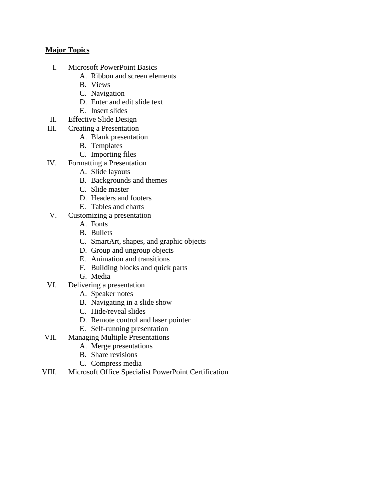#### **Major Topics**

- I. Microsoft PowerPoint Basics
	- A. Ribbon and screen elements
	- B. Views
	- C. Navigation
	- D. Enter and edit slide text
	- E. Insert slides
- II. Effective Slide Design
- III. Creating a Presentation
	- A. Blank presentation
	- B. Templates
	- C. Importing files
- IV. Formatting a Presentation
	- A. Slide layouts
	- B. Backgrounds and themes
	- C. Slide master
	- D. Headers and footers
	- E. Tables and charts
- V. Customizing a presentation
	- A. Fonts
	- B. Bullets
	- C. SmartArt, shapes, and graphic objects
	- D. Group and ungroup objects
	- E. Animation and transitions
	- F. Building blocks and quick parts
	- G. Media
- VI. Delivering a presentation
	- A. Speaker notes
	- B. Navigating in a slide show
	- C. Hide/reveal slides
	- D. Remote control and laser pointer
	- E. Self-running presentation
- VII. Managing Multiple Presentations
	- A. Merge presentations
	- B. Share revisions
	- C. Compress media
- VIII. Microsoft Office Specialist PowerPoint Certification